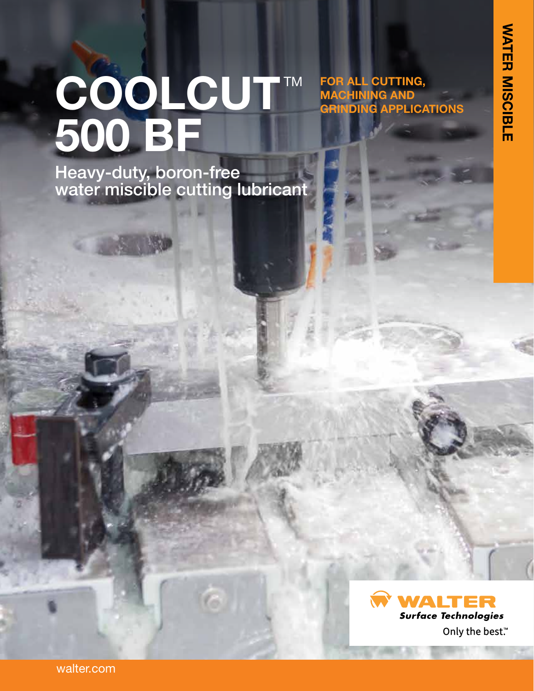**FOR ALL CUTTING, MACHINING AND** 

**GRINDING APPLICATIONS**

# COOLCUT™ **500 BF**

Heavy-duty, boron-free water miscible cutting lubricant